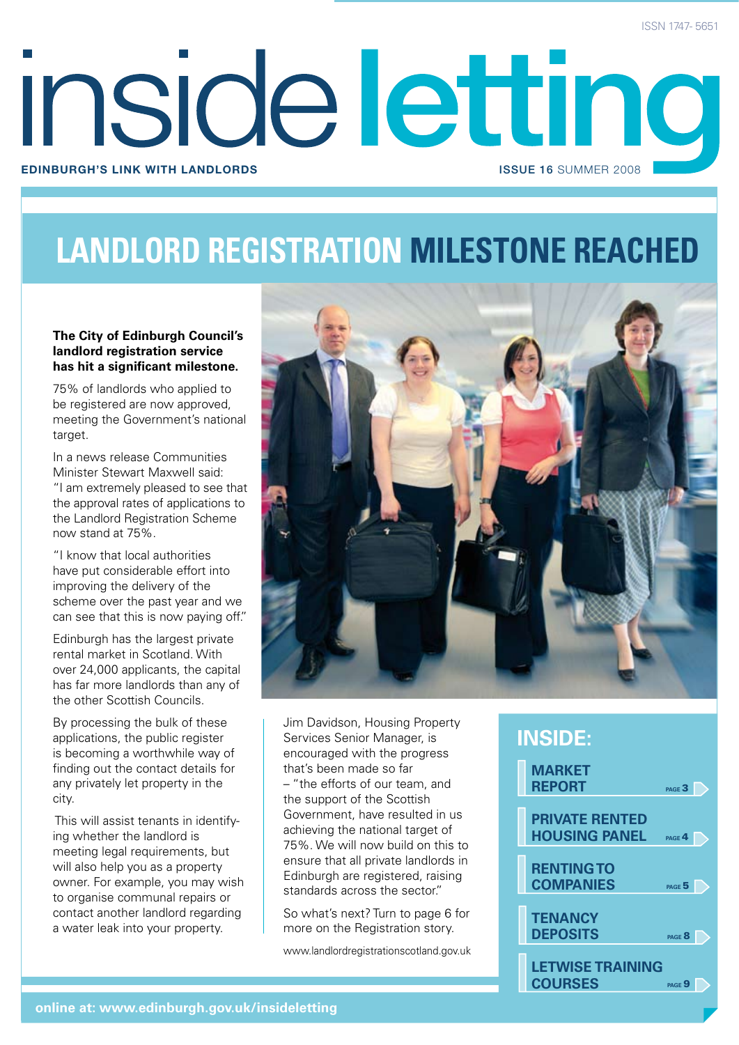# inside letting **Edinburgh's link with landlords** issue 16 SUMMER 2008

## **landlord registration milestone reached**

#### **The City of Edinburgh Council's landlord registration service has hit a significant milestone.**

75% of landlords who applied to be registered are now approved, meeting the Government's national target.

In a news release Communities Minister Stewart Maxwell said: "I am extremely pleased to see that the approval rates of applications to the Landlord Registration Scheme now stand at 75%.

"I know that local authorities have put considerable effort into improving the delivery of the scheme over the past year and we can see that this is now paying off."

Edinburgh has the largest private rental market in Scotland. With over 24,000 applicants, the capital has far more landlords than any of the other Scottish Councils.

By processing the bulk of these applications, the public register is becoming a worthwhile way of finding out the contact details for any privately let property in the city.

 This will assist tenants in identifying whether the landlord is meeting legal requirements, but will also help you as a property owner. For example, you may wish to organise communal repairs or contact another landlord regarding a water leak into your property.



Jim Davidson, Housing Property Services Senior Manager, is encouraged with the progress that's been made so far – "the efforts of our team, and the support of the Scottish Government, have resulted in us achieving the national target of 75%. We will now build on this to ensure that all private landlords in Edinburgh are registered, raising standards across the sector."

So what's next? Turn to page 6 for more on the Registration story.

www.landlordregistrationscotland.gov.uk

### **inside:**

| <b>MARKET</b><br><b>REPORT</b><br>PAGE $3$                         |
|--------------------------------------------------------------------|
| <b>PRIVATE RENTED</b><br><b>HOUSING PANEL</b><br>PAGE <sup>4</sup> |
| <b>RENTING TO</b><br><b>COMPANIES</b><br>PAGE <sup>5</sup>         |
| <b>TENANCY</b><br><b>DEPOSITS</b><br>PAGE <sup>8</sup>             |
| <b>LETWISE TRAINING</b><br><b>COURSES</b><br>$PAGE$ $9$            |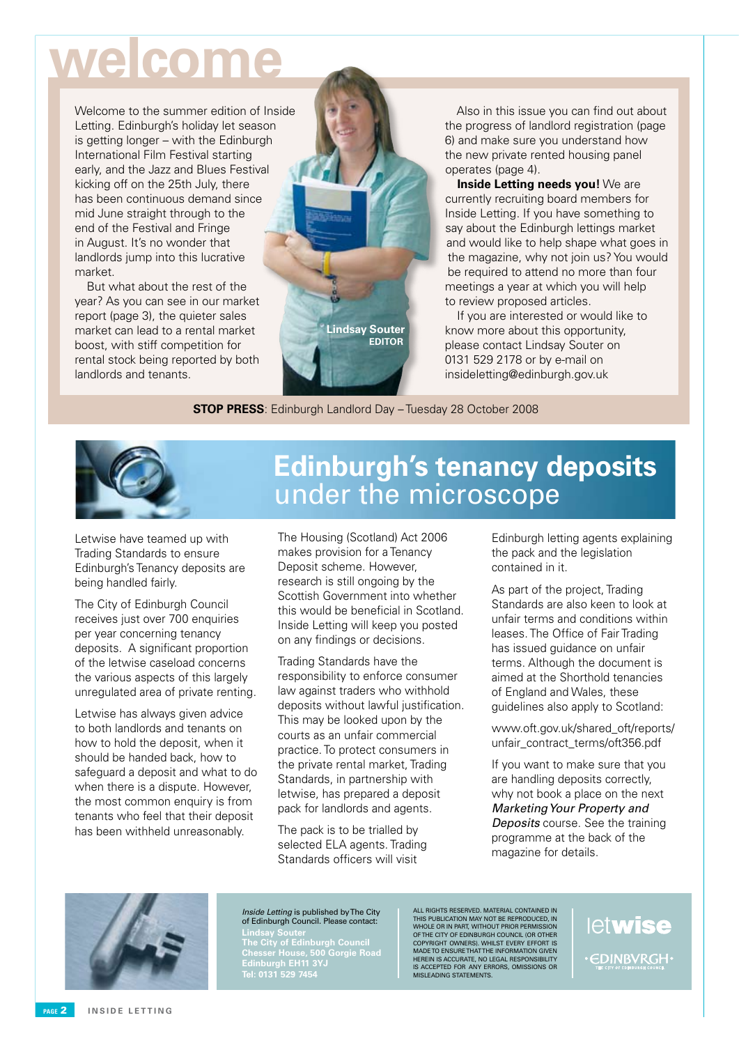## **welcome**

Welcome to the summer edition of Inside Letting. Edinburgh's holiday let season is getting longer – with the Edinburgh International Film Festival starting early, and the Jazz and Blues Festival kicking off on the 25th July, there has been continuous demand since mid June straight through to the end of the Festival and Fringe in August. It's no wonder that landlords jump into this lucrative market.

But what about the rest of the year? As you can see in our market report (page 3), the quieter sales market can lead to a rental market boost, with stiff competition for rental stock being reported by both landlords and tenants.



Also in this issue you can find out about the progress of landlord registration (page) 6) and make sure you understand how the new private rented housing panel operates (page 4).

**Inside Letting needs you!** We are currently recruiting board members for Inside Letting. If you have something to say about the Edinburgh lettings market and would like to help shape what goes in the magazine, why not join us? You would be required to attend no more than four meetings a year at which you will help to review proposed articles.

If you are interested or would like to know more about this opportunity, please contact Lindsay Souter on 0131 529 2178 or by e-mail on insideletting@edinburgh.gov.uk

**STOP PRESS**: Edinburgh Landlord Day – Tuesday 28 October 2008



Letwise have teamed up with Trading Standards to ensure Edinburgh's Tenancy deposits are being handled fairly.

The City of Edinburgh Council receives just over 700 enquiries per year concerning tenancy deposits. A significant proportion of the letwise caseload concerns the various aspects of this largely unregulated area of private renting.

Letwise has always given advice to both landlords and tenants on how to hold the deposit, when it should be handed back, how to safeguard a deposit and what to do when there is a dispute. However, the most common enquiry is from tenants who feel that their deposit has been withheld unreasonably.

### **Edinburgh's tenancy deposits** under the microscope

The Housing (Scotland) Act 2006 makes provision for a Tenancy Deposit scheme. However, research is still ongoing by the Scottish Government into whether this would be beneficial in Scotland. Inside Letting will keep you posted on any findings or decisions.

Trading Standards have the responsibility to enforce consumer law against traders who withhold deposits without lawful justification. This may be looked upon by the courts as an unfair commercial practice. To protect consumers in the private rental market, Trading Standards, in partnership with letwise, has prepared a deposit pack for landlords and agents.

The pack is to be trialled by selected ELA agents. Trading Standards officers will visit

Edinburgh letting agents explaining the pack and the legislation contained in it.

As part of the project, Trading Standards are also keen to look at unfair terms and conditions within leases. The Office of Fair Trading has issued quidance on unfair terms. Although the document is aimed at the Shorthold tenancies of England and Wales, these guidelines also apply to Scotland:

www.oft.gov.uk/shared\_oft/reports/ unfair\_contract\_terms/oft356.pdf

If you want to make sure that you are handling deposits correctly, why not book a place on the next Marketing Your Property and **Deposits** course. See the training programme at the back of the magazine for details.



Inside Letting is published by The City of Edinburgh Council. Please contact:

**Lindsay Souter The City of Edinburgh Council Chesser House, 500 Gorgie Road Edinburgh EH11 3YJ Tel: 0131 529 7454**

ALL RIGHTS RESERVED. MATERIAL CONTAINED IN<br>THIS PUBLICATION MAY NOT BE REPRODUCED, IN<br>WHOLE OR IN PART, WITHOUT PRIOR PERMISSION<br>OFTHE CITY OF EDINBURGH COUNCIL (OR OTHER<br>COPYRIGHT OWNERS). WHILST EVERY EFFORT IS<br>MADE TO E is accepted for any errors, omissions or misleading statements.

letwise **EDINBVRGH**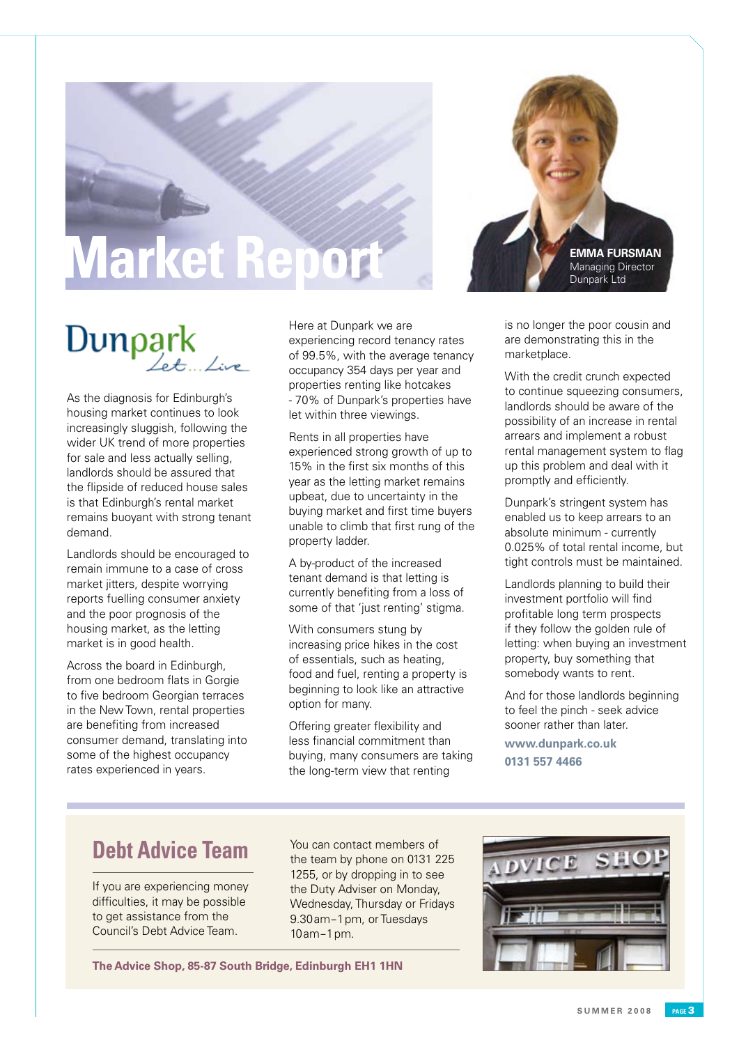## **Market Repor**



## $Dunpark$

As the diagnosis for Edinburgh's housing market continues to look increasingly sluggish, following the wider UK trend of more properties for sale and less actually selling, landlords should be assured that the flipside of reduced house sales is that Edinburgh's rental market remains buoyant with strong tenant demand.

Landlords should be encouraged to remain immune to a case of cross market jitters, despite worrying reports fuelling consumer anxiety and the poor prognosis of the housing market, as the letting market is in good health.

Across the board in Edinburgh, from one bedroom flats in Gorgie to five bedroom Georgian terraces in the New Town, rental properties are benefiting from increased consumer demand, translating into some of the highest occupancy rates experienced in years.

Here at Dunpark we are experiencing record tenancy rates of 99.5%, with the average tenancy occupancy 354 days per year and properties renting like hotcakes - 70% of Dunpark's properties have let within three viewings.

Rents in all properties have experienced strong growth of up to 15% in the first six months of this year as the letting market remains upbeat, due to uncertainty in the buying market and first time buyers unable to climb that first rung of the property ladder.

A by-product of the increased tenant demand is that letting is currently benefiting from a loss of some of that 'just renting' stigma.

With consumers stung by increasing price hikes in the cost of essentials, such as heating, food and fuel, renting a property is beginning to look like an attractive option for many.

Offering greater flexibility and less financial commitment than buying, many consumers are taking the long-term view that renting

is no longer the poor cousin and are demonstrating this in the marketplace.

With the credit crunch expected to continue squeezing consumers, landlords should be aware of the possibility of an increase in rental arrears and implement a robust rental management system to flag up this problem and deal with it promptly and efficiently.

Dunpark's stringent system has enabled us to keep arrears to an absolute minimum - currently 0.025% of total rental income, but tight controls must be maintained.

Landlords planning to build their investment portfolio will find profitable long term prospects if they follow the golden rule of letting: when buying an investment property, buy something that somebody wants to rent.

And for those landlords beginning to feel the pinch - seek advice sooner rather than later.

**www.dunpark.co.uk 0131 557 4466**

### **Debt Advice Team**

If you are experiencing money difficulties, it may be possible to get assistance from the Council's Debt Advice Team.

You can contact members of the team by phone on 0131 225 1255, or by dropping in to see the Duty Adviser on Monday, Wednesday, Thursday or Fridays 9.30am–1pm, or Tuesdays 10am–1pm.

**The Advice Shop, 85-87 South Bridge, Edinburgh EH1 1HN**

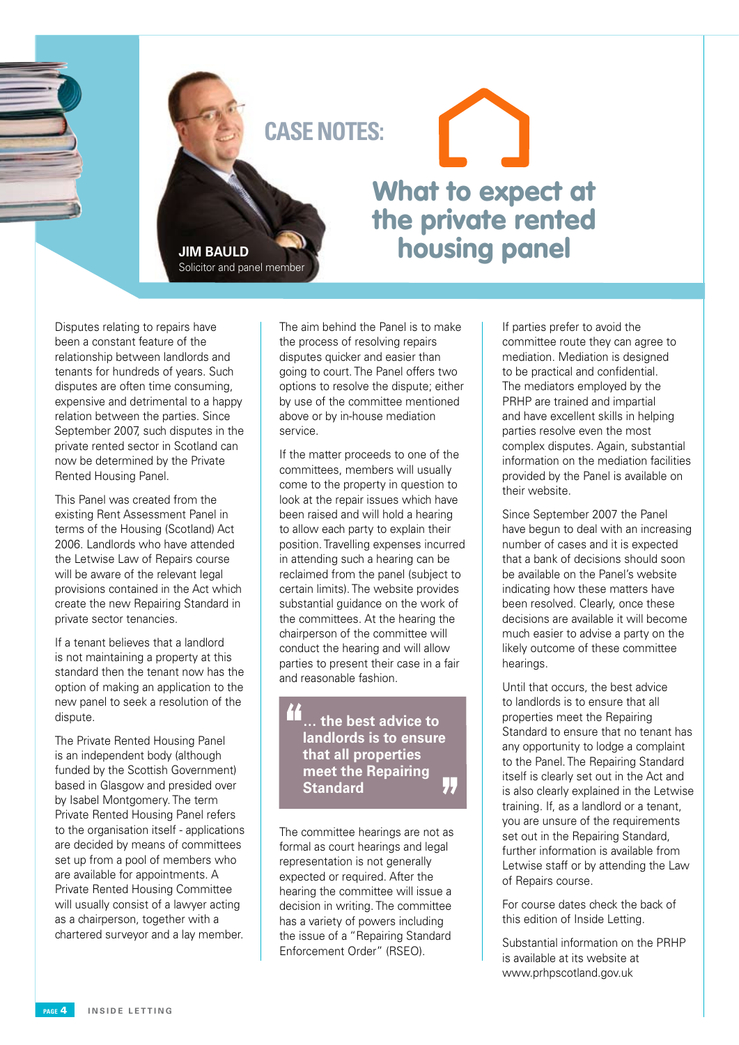

**JIM BAULD** Solicitor and panel member

## What to expect at the private rented housing panel

Disputes relating to repairs have been a constant feature of the relationship between landlords and tenants for hundreds of years. Such disputes are often time consuming, expensive and detrimental to a happy relation between the parties. Since September 2007, such disputes in the private rented sector in Scotland can now be determined by the Private Rented Housing Panel.

This Panel was created from the existing Rent Assessment Panel in terms of the Housing (Scotland) Act 2006. Landlords who have attended the Letwise Law of Repairs course will be aware of the relevant legal provisions contained in the Act which create the new Repairing Standard in private sector tenancies.

If a tenant believes that a landlord is not maintaining a property at this standard then the tenant now has the option of making an application to the new panel to seek a resolution of the dispute.

The Private Rented Housing Panel is an independent body (although funded by the Scottish Government) based in Glasgow and presided over by Isabel Montgomery. The term Private Rented Housing Panel refers to the organisation itself - applications are decided by means of committees set up from a pool of members who are available for appointments. A Private Rented Housing Committee will usually consist of a lawyer acting as a chairperson, together with a chartered surveyor and a lay member.

The aim behind the Panel is to make the process of resolving repairs disputes quicker and easier than going to court. The Panel offers two options to resolve the dispute; either by use of the committee mentioned above or by in-house mediation service.

If the matter proceeds to one of the committees, members will usually come to the property in question to look at the repair issues which have been raised and will hold a hearing to allow each party to explain their position. Travelling expenses incurred in attending such a hearing can be reclaimed from the panel (subject to certain limits). The website provides substantial guidance on the work of the committees. At the hearing the chairperson of the committee will conduct the hearing and will allow parties to present their case in a fair and reasonable fashion.

> **… the best advice to landlords is to ensure that all properties meet the Repairing Standard**

The committee hearings are not as formal as court hearings and legal representation is not generally expected or required. After the hearing the committee will issue a decision in writing. The committee has a variety of powers including the issue of a "Repairing Standard Enforcement Order" (RSEO).

If parties prefer to avoid the committee route they can agree to mediation. Mediation is designed to be practical and confidential. The mediators employed by the PRHP are trained and impartial and have excellent skills in helping parties resolve even the most complex disputes. Again, substantial information on the mediation facilities provided by the Panel is available on their website.

Since September 2007 the Panel have begun to deal with an increasing number of cases and it is expected that a bank of decisions should soon be available on the Panel's website indicating how these matters have been resolved. Clearly, once these decisions are available it will become much easier to advise a party on the likely outcome of these committee hearings.

Until that occurs, the best advice to landlords is to ensure that all properties meet the Repairing Standard to ensure that no tenant has any opportunity to lodge a complaint to the Panel. The Repairing Standard itself is clearly set out in the Act and is also clearly explained in the Letwise training. If, as a landlord or a tenant, you are unsure of the requirements set out in the Repairing Standard, further information is available from Letwise staff or by attending the Law of Repairs course.

For course dates check the back of this edition of Inside Letting.

Substantial information on the PRHP is available at its website at www.prhpscotland.gov.uk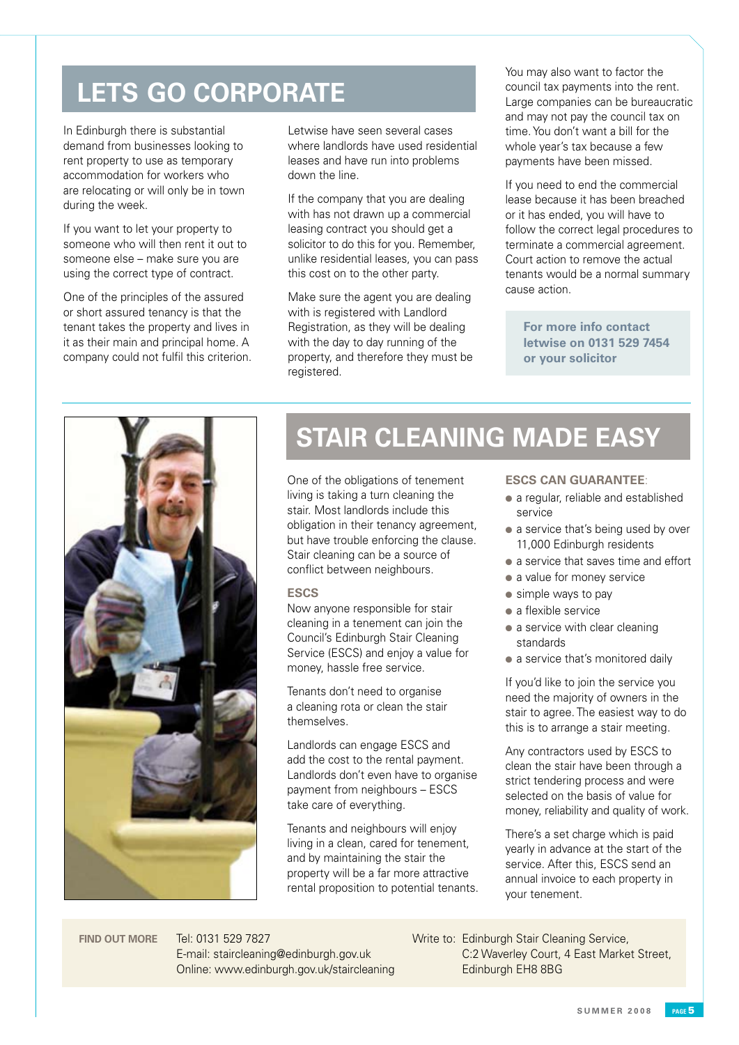### **LETS GO CORPORATE**

In Edinburgh there is substantial demand from businesses looking to rent property to use as temporary accommodation for workers who are relocating or will only be in town during the week.

If you want to let your property to someone who will then rent it out to someone else – make sure you are using the correct type of contract.

One of the principles of the assured or short assured tenancy is that the tenant takes the property and lives in it as their main and principal home. A company could not fulfil this criterion. Letwise have seen several cases where landlords have used residential leases and have run into problems down the line.

If the company that you are dealing with has not drawn up a commercial leasing contract you should get a solicitor to do this for you. Remember, unlike residential leases, you can pass this cost on to the other party.

Make sure the agent you are dealing with is registered with Landlord Registration, as they will be dealing with the day to day running of the property, and therefore they must be registered.

You may also want to factor the council tax payments into the rent. Large companies can be bureaucratic and may not pay the council tax on time. You don't want a bill for the whole year's tax because a few payments have been missed.

If you need to end the commercial lease because it has been breached or it has ended, you will have to follow the correct legal procedures to terminate a commercial agreement. Court action to remove the actual tenants would be a normal summary cause action.

**For more info contact letwise on 0131 529 7454 or your solicitor**



## **STAIR CLEANING MADE EASY**

One of the obligations of tenement living is taking a turn cleaning the stair. Most landlords include this obligation in their tenancy agreement, but have trouble enforcing the clause. Stair cleaning can be a source of conflict between neighbours.

#### **ESCS**

Now anyone responsible for stair cleaning in a tenement can join the Council's Edinburgh Stair Cleaning Service (ESCS) and enjoy a value for money, hassle free service.

Tenants don't need to organise a cleaning rota or clean the stair themselves.

Landlords can engage ESCS and add the cost to the rental payment. Landlords don't even have to organise payment from neighbours – ESCS take care of everything.

Tenants and neighbours will enjoy living in a clean, cared for tenement, and by maintaining the stair the property will be a far more attractive rental proposition to potential tenants.

#### **ESCS CAN GUARANTEE**:

- a regular, reliable and established service
- a service that's being used by over 11,000 Edinburgh residents
- a service that saves time and effort
- $\bullet$  a value for money service
- $\bullet$  simple ways to pay
- $\bullet$  a flexible service
- $\bullet$  a service with clear cleaning standards
- a service that's monitored daily

If you'd like to join the service you need the majority of owners in the stair to agree. The easiest way to do this is to arrange a stair meeting.

Any contractors used by ESCS to clean the stair have been through a strict tendering process and were selected on the basis of value for money, reliability and quality of work.

There's a set charge which is paid yearly in advance at the start of the service. After this, ESCS send an annual invoice to each property in your tenement.

Tel: 0131 529 7827 E-mail: staircleaning@edinburgh.gov.uk Online: www.edinburgh.gov.uk/staircleaning

FIND OUT MORE Tel: 0131 529 7827 Write to: Edinburgh Stair Cleaning Service, C:2 Waverley Court, 4 East Market Street, Edinburgh EH8 8BG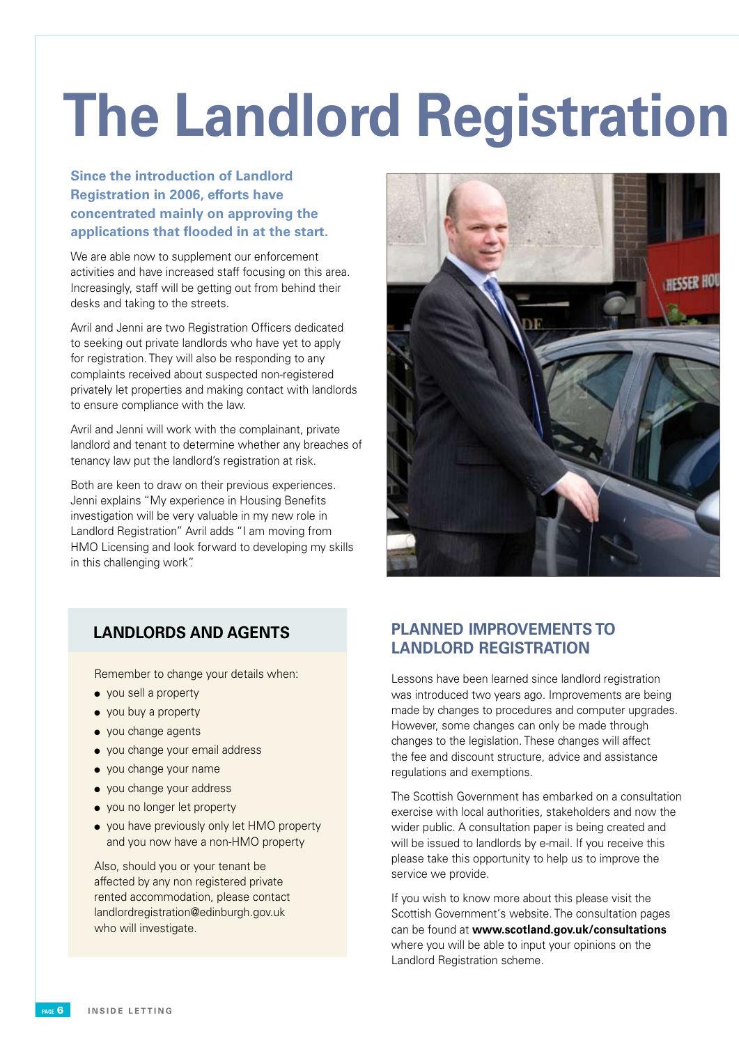## **The Landlord Registration**

#### **Since the introduction of Landlord Registration in 2006, efforts have concentrated mainly on approving the applications that flooded in at the start.**

We are able now to supplement our enforcement activities and have increased staff focusing on this area. Increasingly, staff will be getting out from behind their desks and taking to the streets.

Avril and Jenni are two Registration Officers dedicated to seeking out private landlords who have yet to apply for registration. They will also be responding to any complaints received about suspected non-registered privately let properties and making contact with landlords to ensure compliance with the law.

Avril and Jenni will work with the complainant, private landlord and tenant to determine whether any breaches of tenancy law put the landlord's registration at risk.

Both are keen to draw on their previous experiences. Jenni explains "My experience in Housing Benefits investigation will be very valuable in my new role in Landlord Registration" Avril adds "I am moving from HMO Licensing and look forward to developing my skills in this challenging work".



Remember to change your details when:

- $\bullet$  you sell a property
- $\bullet$  you buy a property
- you change agents
- you change your email address
- you change your name
- you change your address
- you no longer let property
- you have previously only let HMO property and you now have a non-HMO property

Also, should you or your tenant be affected by any non registered private rented accommodation, please contact landlordregistration@edinburgh.gov.uk who will investigate.

#### **LANDLORDS AND AGENTS PLANNED IMPROVEMENTS TO LANDLORD REGISTRATION**

Lessons have been learned since landlord registration was introduced two years ago. Improvements are being made by changes to procedures and computer upgrades. However, some changes can only be made through changes to the legislation. These changes will affect the fee and discount structure, advice and assistance regulations and exemptions.

The Scottish Government has embarked on a consultation exercise with local authorities, stakeholders and now the wider public. A consultation paper is being created and will be issued to landlords by e-mail. If you receive this please take this opportunity to help us to improve the service we provide.

If you wish to know more about this please visit the Scottish Government's website. The consultation pages can be found at **www.scotland.gov.uk/consultations** where you will be able to input your opinions on the Landlord Registration scheme.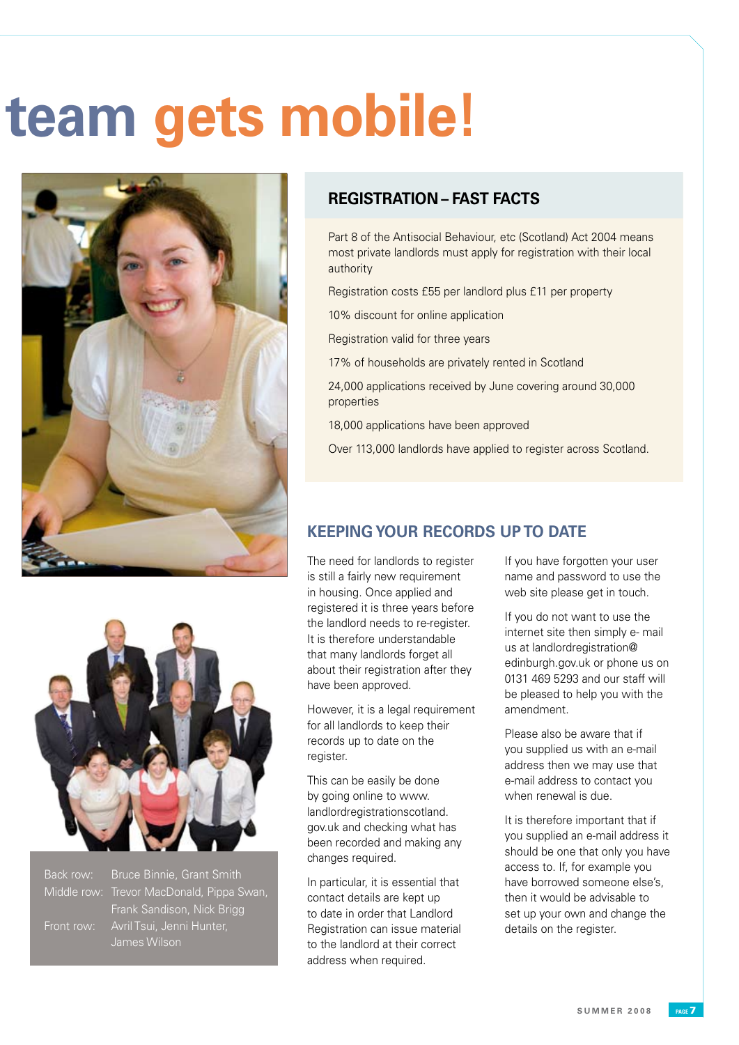## **The Landlord Registration team gets mobile!**





Back row: Bruce Binnie, Grant Smith Middle row: Trevor MacDonald, Pippa Swan, Frank Sandison, Nick Brigg James Wilson

#### **REGISTRATION – FAST FACTS**

Part 8 of the Antisocial Behaviour, etc (Scotland) Act 2004 means most private landlords must apply for registration with their local authority

Registration costs £55 per landlord plus £11 per property

10% discount for online application

Registration valid for three years

17% of households are privately rented in Scotland

24,000 applications received by June covering around 30,000 properties

18,000 applications have been approved

Over 113,000 landlords have applied to register across Scotland.

#### **KEEPING YOUR RECORDS UP TO DATE**

The need for landlords to register is still a fairly new requirement in housing. Once applied and registered it is three years before the landlord needs to re-register. It is therefore understandable that many landlords forget all about their registration after they have been approved.

However, it is a legal requirement for all landlords to keep their records up to date on the register.

This can be easily be done by going online to www. landlordregistrationscotland. gov.uk and checking what has been recorded and making any changes required.

In particular, it is essential that contact details are kept up to date in order that Landlord Registration can issue material to the landlord at their correct address when required.

If you have forgotten your user name and password to use the web site please get in touch.

If you do not want to use the internet site then simply e- mail us at landlordregistration@ edinburgh.gov.uk or phone us on 0131 469 5293 and our staff will be pleased to help you with the amendment.

Please also be aware that if you supplied us with an e-mail address then we may use that e-mail address to contact you when renewal is due.

It is therefore important that if you supplied an e-mail address it should be one that only you have access to. If, for example you have borrowed someone else's then it would be advisable to set up your own and change the details on the register.

**S U M M E R 2 0 0 8 page**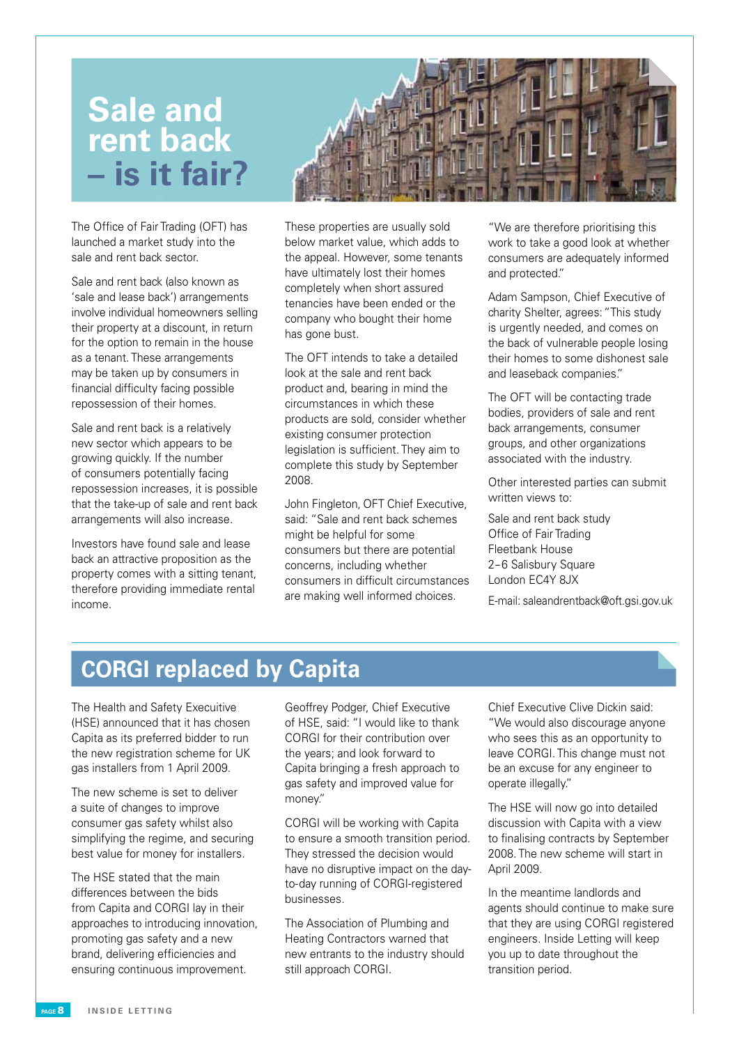### **Sale and rent back – is it fair?**

The Office of Fair Trading (OFT) has launched a market study into the sale and rent back sector.

Sale and rent back (also known as 'sale and lease back') arrangements involve individual homeowners selling their property at a discount, in return for the option to remain in the house as a tenant. These arrangements may be taken up by consumers in financial difficulty facing possible repossession of their homes.

Sale and rent back is a relatively new sector which appears to be growing quickly. If the number of consumers potentially facing repossession increases, it is possible that the take-up of sale and rent back arrangements will also increase.

Investors have found sale and lease back an attractive proposition as the property comes with a sitting tenant, therefore providing immediate rental income.

These properties are usually sold below market value, which adds to the appeal. However, some tenants have ultimately lost their homes completely when short assured tenancies have been ended or the company who bought their home has gone bust.

The OFT intends to take a detailed look at the sale and rent back product and, bearing in mind the circumstances in which these products are sold, consider whether existing consumer protection legislation is sufficient. They aim to complete this study by September 2008.

John Fingleton, OFT Chief Executive, said: "Sale and rent back schemes might be helpful for some consumers but there are potential concerns, including whether consumers in difficult circumstances are making well informed choices.

"We are therefore prioritising this work to take a good look at whether consumers are adequately informed and protected."

Adam Sampson, Chief Executive of charity Shelter, agrees: "This study is urgently needed, and comes on the back of vulnerable people losing their homes to some dishonest sale and leaseback companies."

The OFT will be contacting trade bodies, providers of sale and rent back arrangements, consumer groups, and other organizations associated with the industry.

Other interested parties can submit written views to:

Sale and rent back study Office of Fair Trading Fleetbank House 2-6 Salisbury Square London EC4Y 8JX

E-mail: saleandrentback@oft.gsi.gov.uk

### **CORGI replaced by Capita**

The Health and Safety Execuitive (HSE) announced that it has chosen Capita as its preferred bidder to run the new registration scheme for UK gas installers from 1 April 2009.

The new scheme is set to deliver a suite of changes to improve consumer gas safety whilst also simplifying the regime, and securing best value for money for installers.

The HSE stated that the main differences between the bids from Capita and CORGI lay in their approaches to introducing innovation, promoting gas safety and a new brand, delivering efficiencies and ensuring continuous improvement.

Geoffrey Podger, Chief Executive of HSE, said: "I would like to thank CORGI for their contribution over the years; and look forward to Capita bringing a fresh approach to gas safety and improved value for money."

CORGI will be working with Capita to ensure a smooth transition period. They stressed the decision would have no disruptive impact on the dayto-day running of CORGI-registered businesses.

The Association of Plumbing and Heating Contractors warned that new entrants to the industry should still approach CORGI.

Chief Executive Clive Dickin said: "We would also discourage anyone who sees this as an opportunity to leave CORGI. This change must not be an excuse for any engineer to operate illegally."

The HSE will now go into detailed discussion with Capita with a view to finalising contracts by September 2008. The new scheme will start in April 2009.

In the meantime landlords and agents should continue to make sure that they are using CORGI registered engineers. Inside Letting will keep you up to date throughout the transition period.

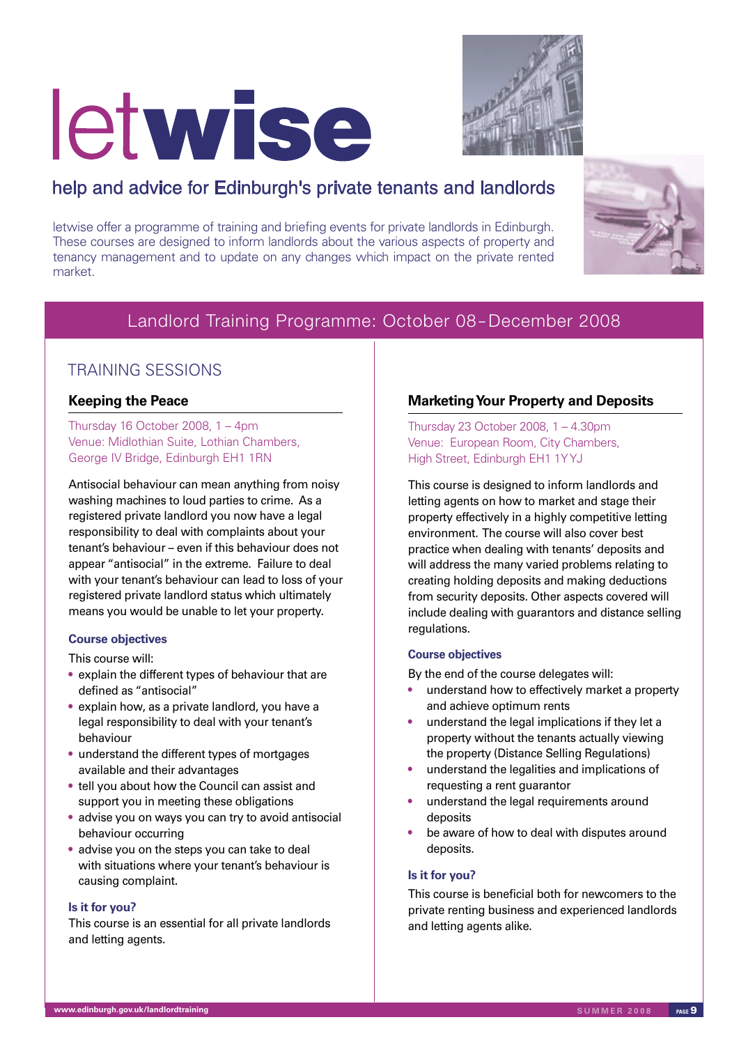# letwise



#### help and advice for Edinburgh's private tenants and landlords

letwise offer a programme of training and briefing events for private landlords in Edinburgh. These courses are designed to inform landlords about the various aspects of property and tenancy management and to update on any changes which impact on the private rented market.



#### Landlord Training Programme: October 08 – December 2008

#### TRAINING SESSIONS

#### **Keeping the Peace**

Thursday 16 October 2008, 1 – 4pm Venue: Midlothian Suite, Lothian Chambers, George IV Bridge, Edinburgh EH1 1RN

Antisocial behaviour can mean anything from noisy washing machines to loud parties to crime. As a registered private landlord you now have a legal responsibility to deal with complaints about your tenant's behaviour – even if this behaviour does not appear "antisocial" in the extreme. Failure to deal with your tenant's behaviour can lead to loss of your registered private landlord status which ultimately means you would be unable to let your property.

#### **Course objectives**

This course will:

- explain the different types of behaviour that are defined as "antisocial"
- explain how, as a private landlord, you have a legal responsibility to deal with your tenant's behaviour
- understand the different types of mortgages available and their advantages
- tell you about how the Council can assist and support you in meeting these obligations
- advise you on ways you can try to avoid antisocial behaviour occurring
- advise you on the steps you can take to deal with situations where your tenant's behaviour is causing complaint.

#### **Is it for you?**

This course is an essential for all private landlords and letting agents.

#### **Marketing Your Property and Deposits**

Thursday 23 October 2008, 1 – 4.30pm Venue: European Room, City Chambers, High Street, Edinburgh EH1 1Y YJ

This course is designed to inform landlords and letting agents on how to market and stage their property effectively in a highly competitive letting environment. The course will also cover best practice when dealing with tenants' deposits and will address the many varied problems relating to creating holding deposits and making deductions from security deposits. Other aspects covered will include dealing with guarantors and distance selling regulations.

#### **Course objectives**

By the end of the course delegates will:

- understand how to effectively market a property and achieve optimum rents
- understand the legal implications if they let a property without the tenants actually viewing the property (Distance Selling Regulations)
- understand the legalities and implications of requesting a rent guarantor
- understand the legal requirements around deposits
- be aware of how to deal with disputes around deposits.

#### **Is it for you?**

This course is beneficial both for newcomers to the private renting business and experienced landlords and letting agents alike.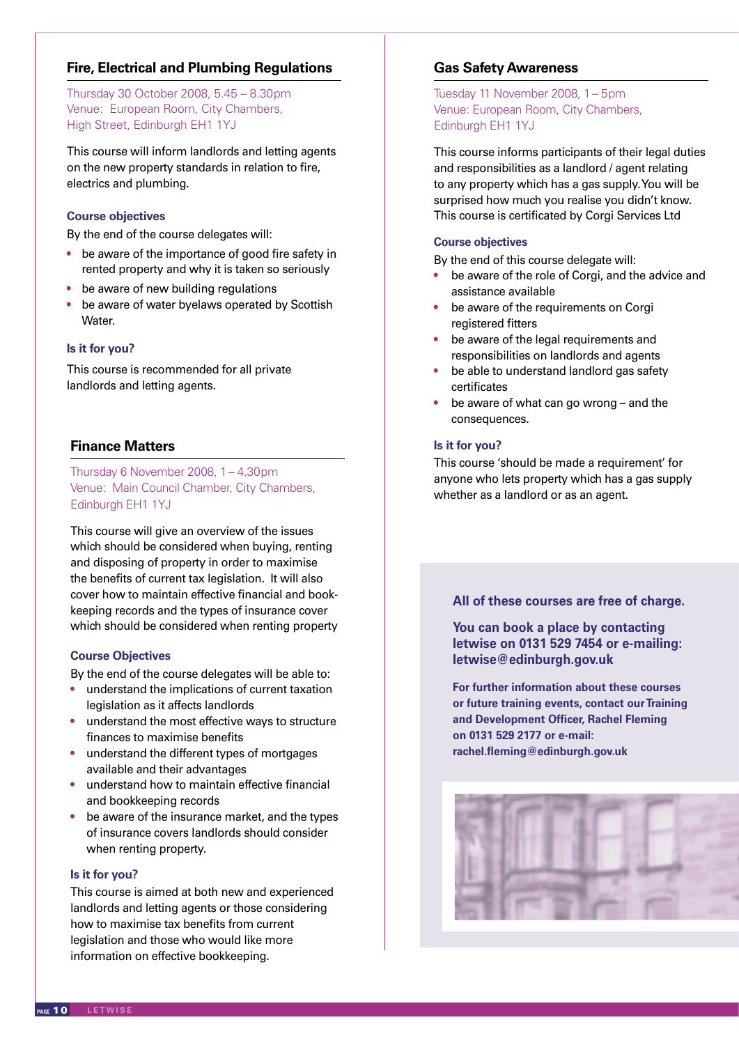Thursday 30 October 2008, 5.45 – 8.30pm Venue: European Room, City Chambers, High Street, Edinburgh EH1 1YJ

This course will inform landlords and letting agents on the new property standards in relation to fire, electrics and plumbing.

#### **Course objectives**

By the end of the course delegates will:

- be aware of the importance of good fire safety in rented property and why it is taken so seriously
- be aware of new building regulations
- be aware of water byelaws operated by Scottish Water.

#### **Is it for you?**

This course is recommended for all private landlords and letting agents.

#### **Finance Matters**

Thursday 6 November 2008, 1 – 4.30pm Venue: Main Council Chamber, City Chambers, Edinburgh EH1 1YJ

This course will give an overview of the issues which should be considered when buying, renting and disposing of property in order to maximise the benefits of current tax legislation. It will also cover how to maintain effective financial and bookkeeping records and the types of insurance cover which should be considered when renting property **Fire, Electrical and Plumbing Regulations**<br>
Thursday 30 Cotober 2008, 5.45 - 8.30pm<br>
Venue: European Room, City Chambers,<br>
High Street, Edinburgh EH1 1YJ<br>
This course well inform handlords and letting agent<br>
on the new pr

#### **Course Objectives**

By the end of the course delegates will be able to:

- understand the implications of current taxation legislation as it affects landlords
- understand the most effective ways to structure finances to maximise benefits
- understand the different types of mortgages available and their advantages
- understand how to maintain effective financial and bookkeeping records
- be aware of the insurance market, and the types of insurance covers landlords should consider when renting property.

#### **Is it for you?**

This course is aimed at both new and experienced landlords and letting agents or those considering how to maximise tax benefits from current legislation and those who would like more information on effective bookkeeping.

#### **Gas Safety Awareness**

Tuesday 11 November 2008, 1 – 5pm Venue: European Room, City Chambers, Edinburgh EH1 1YJ

This course informs participants of their legal duties and responsibilities as a landlord / agent relating to any property which has a gas supply. You will be surprised how much you realise you didn't know. This course is certificated by Corgi Services Ltd

#### **Course objectives**

By the end of this course delegate will:

- be aware of the role of Corgi, and the advice and assistance available
- be aware of the requirements on Corgi registered fitters
- be aware of the legal requirements and responsibilities on landlords and agents
- be able to understand landlord gas safety certificates
- be aware of what can go wrong and the consequences.

#### **Is it for you?**

This course 'should be made a requirement' for anyone who lets property which has a gas supply whether as a landlord or as an agent.

#### **All of these courses are free of charge.**

**You can book a place by contacting letwise on 0131 529 7454 or e-mailing: letwise@edinburgh.gov.uk**

**For further information about these courses or future training events, contact our Training and Development Officer, Rachel Fleming on 0131 529 2177 or e-mail: rachel.fleming@edinburgh.gov.uk**

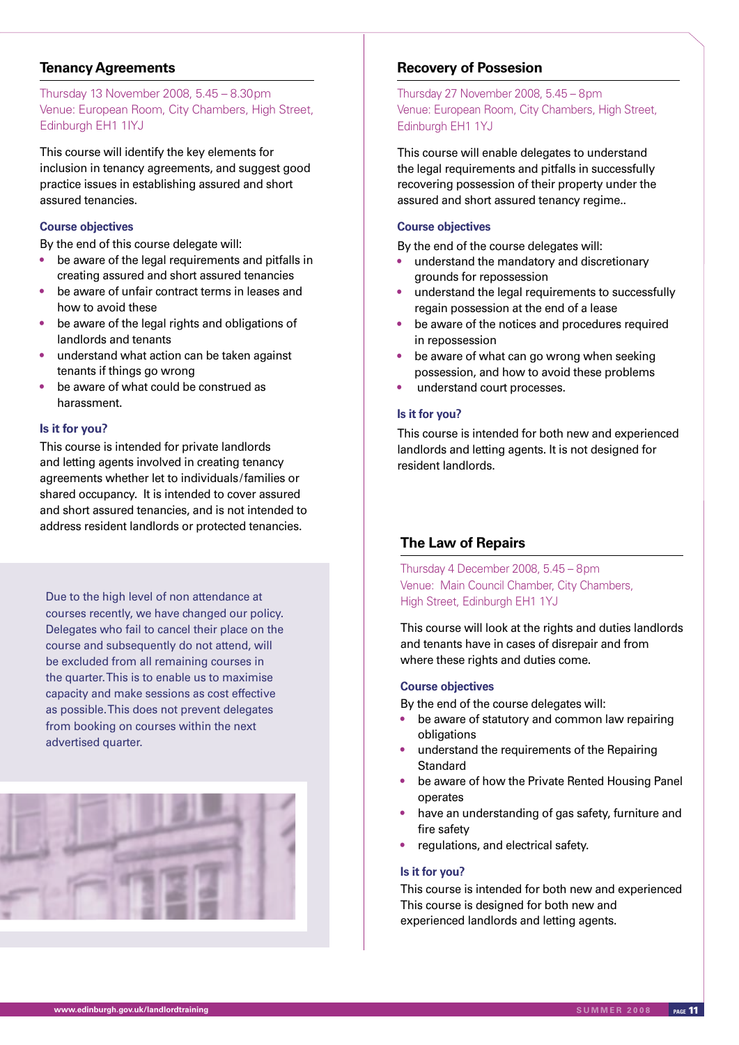#### **Tenancy Agreements**

Thursday 13 November 2008, 5.45 – 8.30pm Venue: European Room, City Chambers, High Street, Edinburgh EH1 1IYJ

This course will identify the key elements for inclusion in tenancy agreements, and suggest good practice issues in establishing assured and short assured tenancies.

#### **Course objectives**

By the end of this course delegate will:

- be aware of the legal requirements and pitfalls in creating assured and short assured tenancies
- be aware of unfair contract terms in leases and how to avoid these
- be aware of the legal rights and obligations of landlords and tenants
- understand what action can be taken against tenants if things go wrong
- be aware of what could be construed as harassment.

#### **Is it for you?**

This course is intended for private landlords and letting agents involved in creating tenancy agreements whether let to individuals/families or shared occupancy. It is intended to cover assured and short assured tenancies, and is not intended to address resident landlords or protected tenancies.

Due to the high level of non attendance at courses recently, we have changed our policy. Delegates who fail to cancel their place on the course and subsequently do not attend, will be excluded from all remaining courses in the quarter. This is to enable us to maximise capacity and make sessions as cost effective as possible. This does not prevent delegates from booking on courses within the next advertised quarter.



#### **Recovery of Possesion**

Thursday 27 November 2008, 5.45 – 8pm Venue: European Room, City Chambers, High Street, Edinburgh EH1 1YJ

This course will enable delegates to understand the legal requirements and pitfalls in successfully recovering possession of their property under the assured and short assured tenancy regime..

#### **Course objectives**

By the end of the course delegates will:

- understand the mandatory and discretionary grounds for repossession
- understand the legal requirements to successfully regain possession at the end of a lease
- be aware of the notices and procedures required in repossession
- be aware of what can go wrong when seeking possession, and how to avoid these problems
- understand court processes.

#### **Is it for you?**

This course is intended for both new and experienced landlords and letting agents. It is not designed for resident landlords.

#### **The Law of Repairs**

Thursday 4 December 2008, 5.45 – 8pm Venue: Main Council Chamber, City Chambers, High Street, Edinburgh EH1 1YJ

This course will look at the rights and duties landlords and tenants have in cases of disrepair and from where these rights and duties come.

#### **Course objectives**

By the end of the course delegates will:

- be aware of statutory and common law repairing obligations
- understand the requirements of the Repairing **Standard**
- be aware of how the Private Rented Housing Panel operates
- have an understanding of gas safety, furniture and fire safety
- regulations, and electrical safety.

#### **Is it for you?**

This course is intended for both new and experienced This course is designed for both new and experienced landlords and letting agents.